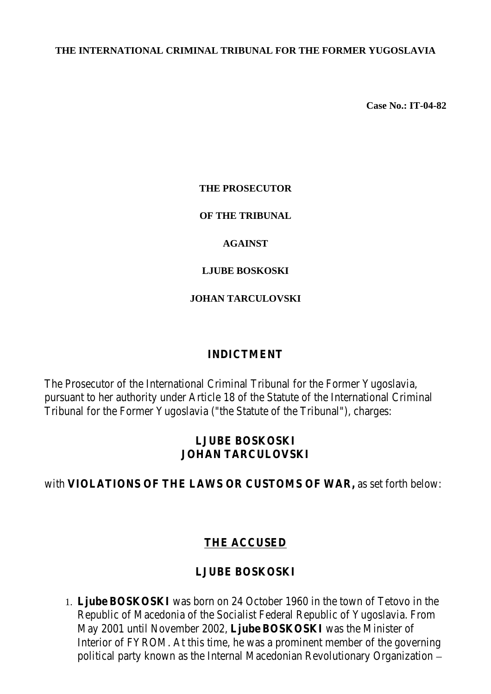#### **THE INTERNATIONAL CRIMINAL TRIBUNAL FOR THE FORMER YUGOSLAVIA**

**Case No.: IT-04-82**

#### **THE PROSECUTOR**

#### **OF THE TRIBUNAL**

#### **AGAINST**

#### **LJUBE BOSKOSKI**

#### **JOHAN TARCULOVSKI**

#### **INDICTMENT**

The Prosecutor of the International Criminal Tribunal for the Former Yugoslavia, pursuant to her authority under Article 18 of the Statute of the International Criminal Tribunal for the Former Yugoslavia ("the Statute of the Tribunal"), charges:

#### **LJUBE BOSKOSKI JOHAN TARCULOVSKI**

#### with **VIOLATIONS OF THE LAWS OR CUSTOMS OF WAR,** as set forth below:

## **THE ACCUSED**

## **LJUBE BOSKOSKI**

1. **Ljube BOSKOSKI** was born on 24 October 1960 in the town of Tetovo in the Republic of Macedonia of the Socialist Federal Republic of Yugoslavia. From May 2001 until November 2002, **Ljube BOSKOSKI** was the Minister of Interior of FYROM. At this time, he was a prominent member of the governing political party known as the Internal Macedonian Revolutionary Organization –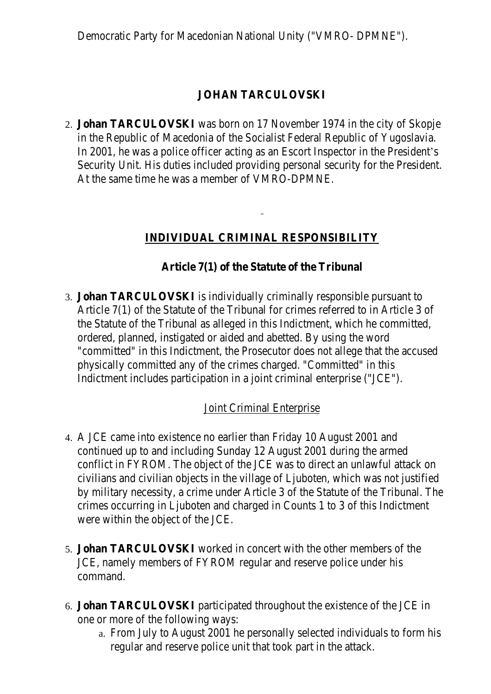Democratic Party for Macedonian National Unity ("VMRO- DPMNE").

## **JOHAN TARCULOVSKI**

2. **Johan TARCULOVSKI** was born on 17 November 1974 in the city of Skopje in the Republic of Macedonia of the Socialist Federal Republic of Yugoslavia. In 2001, he was a police officer acting as an Escort Inspector in the President's Security Unit. His duties included providing personal security for the President. At the same time he was a member of VMRO-DPMNE.

## **INDIVIDUAL CRIMINAL RESPONSIBILITY**

## **Article 7(1) of the Statute of the Tribunal**

3. **Johan TARCULOVSKI** is individually criminally responsible pursuant to Article 7(1) of the Statute of the Tribunal for crimes referred to in Article 3 of the Statute of the Tribunal as alleged in this Indictment, which he committed, ordered, planned, instigated or aided and abetted. By using the word "committed" in this Indictment, the Prosecutor does not allege that the accused physically committed any of the crimes charged. "Committed" in this Indictment includes participation in a joint criminal enterprise ("JCE").

## **Joint Criminal Enterprise**

- 4. A JCE came into existence no earlier than Friday 10 August 2001 and continued up to and including Sunday 12 August 2001 during the armed conflict in FYROM. The object of the JCE was to direct an unlawful attack on civilians and civilian objects in the village of Ljuboten, which was not justified by military necessity, a crime under Article 3 of the Statute of the Tribunal. The crimes occurring in Ljuboten and charged in Counts 1 to 3 of this Indictment were within the object of the JCE.
- 5. **Johan TARCULOVSKI** worked in concert with the other members of the JCE, namely members of FYROM regular and reserve police under his command.
- 6. **Johan TARCULOVSKI** participated throughout the existence of the JCE in one or more of the following ways:
	- a. From July to August 2001 he personally selected individuals to form his regular and reserve police unit that took part in the attack.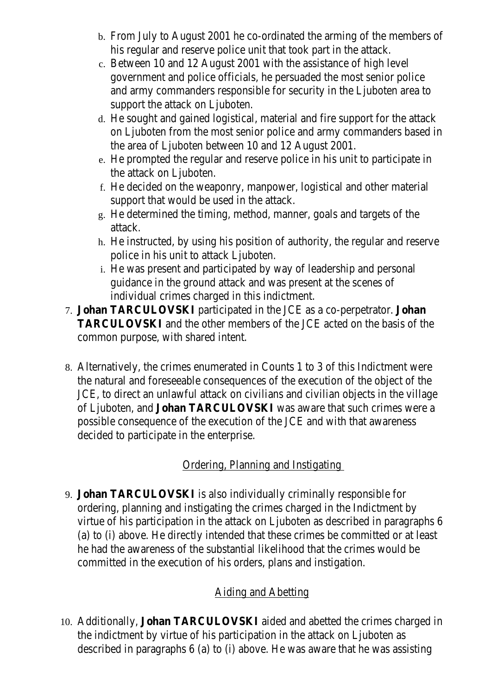- b. From July to August 2001 he co-ordinated the arming of the members of his regular and reserve police unit that took part in the attack.
- c. Between 10 and 12 August 2001 with the assistance of high level government and police officials, he persuaded the most senior police and army commanders responsible for security in the Ljuboten area to support the attack on Ljuboten.
- d. He sought and gained logistical, material and fire support for the attack on Ljuboten from the most senior police and army commanders based in the area of Ljuboten between 10 and 12 August 2001.
- e. He prompted the regular and reserve police in his unit to participate in the attack on Ljuboten.
- f. He decided on the weaponry, manpower, logistical and other material support that would be used in the attack.
- g. He determined the timing, method, manner, goals and targets of the attack.
- h. He instructed, by using his position of authority, the regular and reserve police in his unit to attack Ljuboten.
- i. He was present and participated by way of leadership and personal guidance in the ground attack and was present at the scenes of individual crimes charged in this indictment.
- 7. **Johan TARCULOVSKI** participated in the JCE as a co-perpetrator. **Johan TARCULOVSKI** and the other members of the JCE acted on the basis of the common purpose, with shared intent.
- 8. Alternatively, the crimes enumerated in Counts 1 to 3 of this Indictment were the natural and foreseeable consequences of the execution of the object of the JCE, to direct an unlawful attack on civilians and civilian objects in the village of Ljuboten, and **Johan TARCULOVSKI** was aware that such crimes were a possible consequence of the execution of the JCE and with that awareness decided to participate in the enterprise.

# Ordering, Planning and Instigating

9. **Johan TARCULOVSKI** is also individually criminally responsible for ordering, planning and instigating the crimes charged in the Indictment by virtue of his participation in the attack on Ljuboten as described in paragraphs 6 (a) to (i) above. He directly intended that these crimes be committed or at least he had the awareness of the substantial likelihood that the crimes would be committed in the execution of his orders, plans and instigation.

# Aiding and Abetting

10. Additionally, **Johan TARCULOVSKI** aided and abetted the crimes charged in the indictment by virtue of his participation in the attack on Ljuboten as described in paragraphs 6 (a) to (i) above. He was aware that he was assisting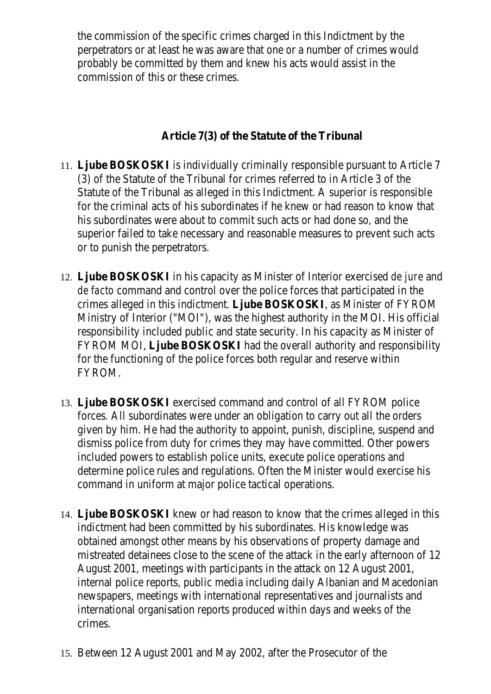the commission of the specific crimes charged in this Indictment by the perpetrators or at least he was aware that one or a number of crimes would probably be committed by them and knew his acts would assist in the commission of this or these crimes.

## **Article 7(3) of the Statute of the Tribunal**

- 11. **Ljube BOSKOSKI** is individually criminally responsible pursuant to Article 7 (3) of the Statute of the Tribunal for crimes referred to in Article 3 of the Statute of the Tribunal as alleged in this Indictment. A superior is responsible for the criminal acts of his subordinates if he knew or had reason to know that his subordinates were about to commit such acts or had done so, and the superior failed to take necessary and reasonable measures to prevent such acts or to punish the perpetrators.
- 12. **Ljube BOSKOSKI** in his capacity as Minister of Interior exercised *de jure* and *de facto* command and control over the police forces that participated in the crimes alleged in this indictment. **Ljube BOSKOSKI**, as Minister of FYROM Ministry of Interior ("MOI"), was the highest authority in the MOI. His official responsibility included public and state security. In his capacity as Minister of FYROM MOI, **Ljube BOSKOSKI** had the overall authority and responsibility for the functioning of the police forces both regular and reserve within FYROM.
- 13. **Ljube BOSKOSKI** exercised command and control of all FYROM police forces. All subordinates were under an obligation to carry out all the orders given by him. He had the authority to appoint, punish, discipline, suspend and dismiss police from duty for crimes they may have committed. Other powers included powers to establish police units, execute police operations and determine police rules and regulations. Often the Minister would exercise his command in uniform at major police tactical operations.
- 14. **Ljube BOSKOSKI** knew or had reason to know that the crimes alleged in this indictment had been committed by his subordinates. His knowledge was obtained amongst other means by his observations of property damage and mistreated detainees close to the scene of the attack in the early afternoon of 12 August 2001, meetings with participants in the attack on 12 August 2001, internal police reports, public media including daily Albanian and Macedonian newspapers, meetings with international representatives and journalists and international organisation reports produced within days and weeks of the crimes.
- 15. Between 12 August 2001 and May 2002, after the Prosecutor of the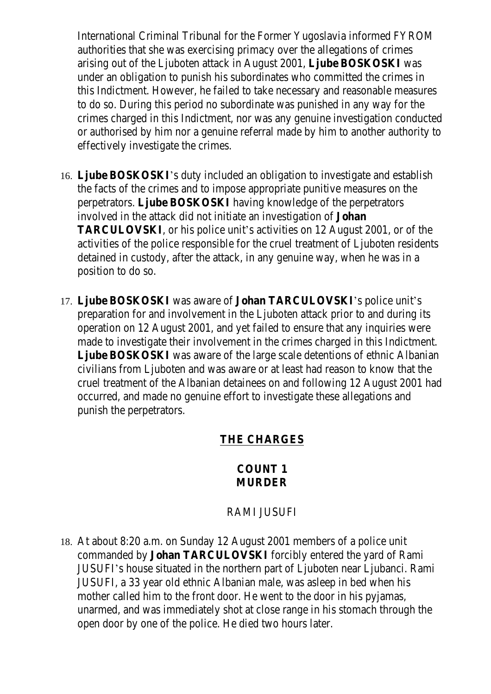International Criminal Tribunal for the Former Yugoslavia informed FYROM authorities that she was exercising primacy over the allegations of crimes arising out of the Ljuboten attack in August 2001, **Ljube BOSKOSKI** was under an obligation to punish his subordinates who committed the crimes in this Indictment. However, he failed to take necessary and reasonable measures to do so. During this period no subordinate was punished in any way for the crimes charged in this Indictment, nor was any genuine investigation conducted or authorised by him nor a genuine referral made by him to another authority to effectively investigate the crimes.

- 16. **Ljube BOSKOSKI**'s duty included an obligation to investigate and establish the facts of the crimes and to impose appropriate punitive measures on the perpetrators. **Ljube BOSKOSKI** having knowledge of the perpetrators involved in the attack did not initiate an investigation of **Johan TARCULOVSKI**, or his police unit's activities on 12 August 2001, or of the activities of the police responsible for the cruel treatment of Ljuboten residents detained in custody, after the attack, in any genuine way, when he was in a position to do so.
- 17. **Ljube BOSKOSKI** was aware of **Johan TARCULOVSKI**'s police unit's preparation for and involvement in the Ljuboten attack prior to and during its operation on 12 August 2001, and yet failed to ensure that any inquiries were made to investigate their involvement in the crimes charged in this Indictment. **Ljube BOSKOSKI** was aware of the large scale detentions of ethnic Albanian civilians from Ljuboten and was aware or at least had reason to know that the cruel treatment of the Albanian detainees on and following 12 August 2001 had occurred, and made no genuine effort to investigate these allegations and punish the perpetrators.

## **THE CHARGES**

#### **COUNT 1 MURDER**

## RAMI JUSUFI

18. At about 8:20 a.m. on Sunday 12 August 2001 members of a police unit commanded by **Johan TARCULOVSKI** forcibly entered the yard of Rami JUSUFI's house situated in the northern part of Ljuboten near Ljubanci. Rami JUSUFI, a 33 year old ethnic Albanian male, was asleep in bed when his mother called him to the front door. He went to the door in his pyjamas, unarmed, and was immediately shot at close range in his stomach through the open door by one of the police. He died two hours later.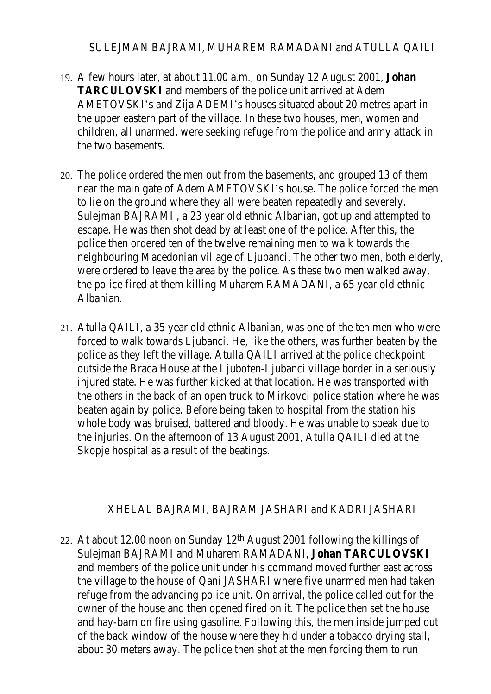#### SULEJMAN BAJRAMI, MUHAREM RAMADANI and ATULLA QAILI

- 19. A few hours later, at about 11.00 a.m., on Sunday 12 August 2001, **Johan TARCULOVSKI** and members of the police unit arrived at Adem AMETOVSKI's and Zija ADEMI's houses situated about 20 metres apart in the upper eastern part of the village. In these two houses, men, women and children, all unarmed, were seeking refuge from the police and army attack in the two basements.
- 20. The police ordered the men out from the basements, and grouped 13 of them near the main gate of Adem AMETOVSKI's house. The police forced the men to lie on the ground where they all were beaten repeatedly and severely. Sulejman BAJRAMI , a 23 year old ethnic Albanian, got up and attempted to escape. He was then shot dead by at least one of the police. After this, the police then ordered ten of the twelve remaining men to walk towards the neighbouring Macedonian village of Ljubanci. The other two men, both elderly, were ordered to leave the area by the police. As these two men walked away, the police fired at them killing Muharem RAMADANI, a 65 year old ethnic Albanian.
- 21. Atulla QAILI, a 35 year old ethnic Albanian, was one of the ten men who were forced to walk towards Ljubanci. He, like the others, was further beaten by the police as they left the village. Atulla QAILI arrived at the police checkpoint outside the Braca House at the Ljuboten-Ljubanci village border in a seriously injured state. He was further kicked at that location. He was transported with the others in the back of an open truck to Mirkovci police station where he was beaten again by police. Before being taken to hospital from the station his whole body was bruised, battered and bloody. He was unable to speak due to the injuries. On the afternoon of 13 August 2001, Atulla QAILI died at the Skopje hospital as a result of the beatings.

#### XHELAL BAJRAMI, BAJRAM JASHARI and KADRI JASHARI

22. At about 12.00 noon on Sunday 12th August 2001 following the killings of Sulejman BAJRAMI and Muharem RAMADANI, **Johan TARCULOVSKI** and members of the police unit under his command moved further east across the village to the house of Qani JASHARI where five unarmed men had taken refuge from the advancing police unit. On arrival, the police called out for the owner of the house and then opened fired on it. The police then set the house and hay-barn on fire using gasoline. Following this, the men inside jumped out of the back window of the house where they hid under a tobacco drying stall, about 30 meters away. The police then shot at the men forcing them to run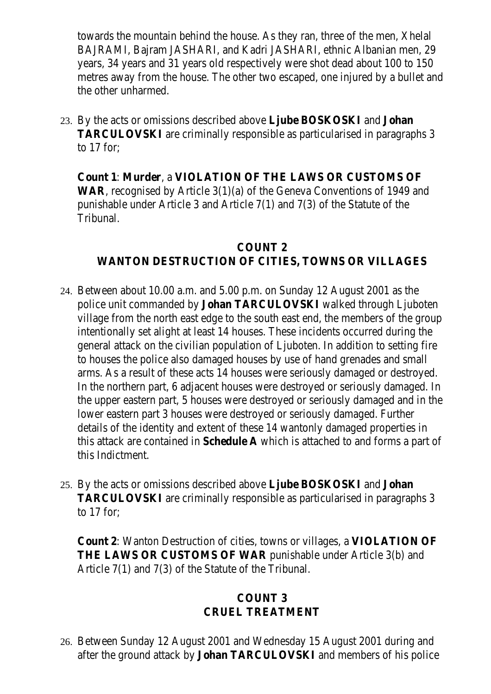towards the mountain behind the house. As they ran, three of the men, Xhelal BAJRAMI, Bajram JASHARI, and Kadri JASHARI, ethnic Albanian men, 29 years, 34 years and 31 years old respectively were shot dead about 100 to 150 metres away from the house. The other two escaped, one injured by a bullet and the other unharmed.

23. By the acts or omissions described above **Ljube BOSKOSKI** and **Johan TARCULOVSKI** are criminally responsible as particularised in paragraphs 3 to 17 for;

**Count 1**: **Murder**, a **VIOLATION OF THE LAWS OR CUSTOMS OF WAR**, recognised by Article 3(1)(a) of the Geneva Conventions of 1949 and punishable under Article 3 and Article 7(1) and 7(3) of the Statute of the Tribunal.

## **COUNT 2 WANTON DESTRUCTION OF CITIES, TOWNS OR VILLAGES**

- 24. Between about 10.00 a.m. and 5.00 p.m. on Sunday 12 August 2001 as the police unit commanded by **Johan TARCULOVSKI** walked through Ljuboten village from the north east edge to the south east end, the members of the group intentionally set alight at least 14 houses. These incidents occurred during the general attack on the civilian population of Ljuboten. In addition to setting fire to houses the police also damaged houses by use of hand grenades and small arms. As a result of these acts 14 houses were seriously damaged or destroyed. In the northern part, 6 adjacent houses were destroyed or seriously damaged. In the upper eastern part, 5 houses were destroyed or seriously damaged and in the lower eastern part 3 houses were destroyed or seriously damaged. Further details of the identity and extent of these 14 wantonly damaged properties in this attack are contained in **Schedule A** which is attached to and forms a part of this Indictment.
- 25. By the acts or omissions described above **Ljube BOSKOSKI** and **Johan TARCULOVSKI** are criminally responsible as particularised in paragraphs 3 to 17 for;

**Count 2**: Wanton Destruction of cities, towns or villages, a **VIOLATION OF THE LAWS OR CUSTOMS OF WAR** punishable under Article 3(b) and Article 7(1) and 7(3) of the Statute of the Tribunal.

#### **COUNT 3 CRUEL TREATMENT**

26. Between Sunday 12 August 2001 and Wednesday 15 August 2001 during and after the ground attack by **Johan TARCULOVSKI** and members of his police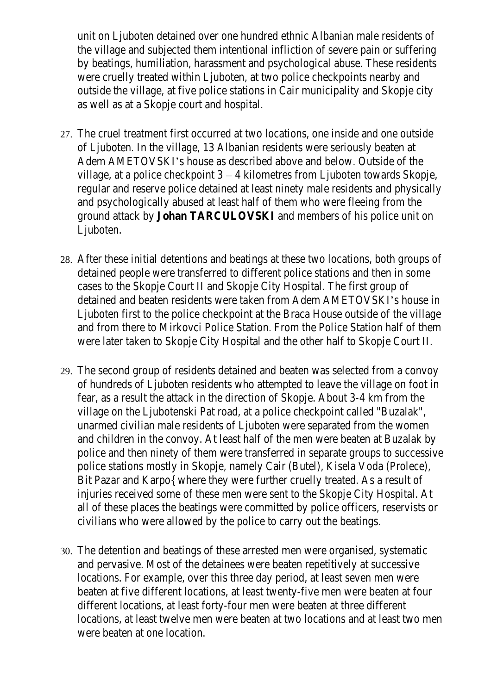unit on Ljuboten detained over one hundred ethnic Albanian male residents of the village and subjected them intentional infliction of severe pain or suffering by beatings, humiliation, harassment and psychological abuse. These residents were cruelly treated within Ljuboten, at two police checkpoints nearby and outside the village, at five police stations in Cair municipality and Skopje city as well as at a Skopje court and hospital.

- 27. The cruel treatment first occurred at two locations, one inside and one outside of Ljuboten. In the village, 13 Albanian residents were seriously beaten at Adem AMETOVSKI's house as described above and below. Outside of the village, at a police checkpoint 3 – 4 kilometres from Ljuboten towards Skopje, regular and reserve police detained at least ninety male residents and physically and psychologically abused at least half of them who were fleeing from the ground attack by **Johan TARCULOVSKI** and members of his police unit on Ljuboten.
- 28. After these initial detentions and beatings at these two locations, both groups of detained people were transferred to different police stations and then in some cases to the Skopje Court II and Skopje City Hospital. The first group of detained and beaten residents were taken from Adem AMETOVSKI's house in Ljuboten first to the police checkpoint at the Braca House outside of the village and from there to Mirkovci Police Station. From the Police Station half of them were later taken to Skopje City Hospital and the other half to Skopje Court II.
- 29. The second group of residents detained and beaten was selected from a convoy of hundreds of Ljuboten residents who attempted to leave the village on foot in fear, as a result the attack in the direction of Skopje. About 3-4 km from the village on the Ljubotenski Pat road, at a police checkpoint called "Buzalak", unarmed civilian male residents of Ljuboten were separated from the women and children in the convoy. At least half of the men were beaten at Buzalak by police and then ninety of them were transferred in separate groups to successive police stations mostly in Skopje, namely Cair (Butel), Kisela Voda (Prolece), Bit Pazar and Karpo{ where they were further cruelly treated. As a result of injuries received some of these men were sent to the Skopje City Hospital. At all of these places the beatings were committed by police officers, reservists or civilians who were allowed by the police to carry out the beatings.
- 30. The detention and beatings of these arrested men were organised, systematic and pervasive. Most of the detainees were beaten repetitively at successive locations. For example, over this three day period, at least seven men were beaten at five different locations, at least twenty-five men were beaten at four different locations, at least forty-four men were beaten at three different locations, at least twelve men were beaten at two locations and at least two men were beaten at one location.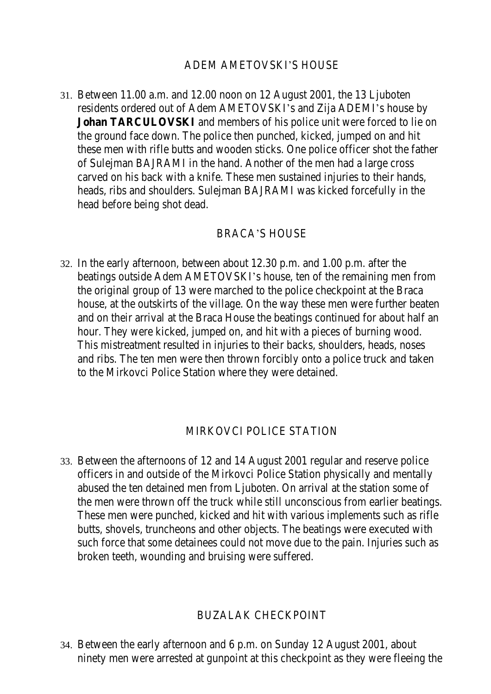## ADEM AMETOVSKI'S HOUSE

31. Between 11.00 a.m. and 12.00 noon on 12 August 2001, the 13 Ljuboten residents ordered out of Adem AMETOVSKI's and Zija ADEMI's house by **Johan TARCULOVSKI** and members of his police unit were forced to lie on the ground face down. The police then punched, kicked, jumped on and hit these men with rifle butts and wooden sticks. One police officer shot the father of Sulejman BAJRAMI in the hand. Another of the men had a large cross carved on his back with a knife. These men sustained injuries to their hands, heads, ribs and shoulders. Sulejman BAJRAMI was kicked forcefully in the head before being shot dead.

#### BRACA'S HOUSE

32. In the early afternoon, between about 12.30 p.m. and 1.00 p.m. after the beatings outside Adem AMETOVSKI's house, ten of the remaining men from the original group of 13 were marched to the police checkpoint at the Braca house, at the outskirts of the village. On the way these men were further beaten and on their arrival at the Braca House the beatings continued for about half an hour. They were kicked, jumped on, and hit with a pieces of burning wood. This mistreatment resulted in injuries to their backs, shoulders, heads, noses and ribs. The ten men were then thrown forcibly onto a police truck and taken to the Mirkovci Police Station where they were detained.

#### MIRKOVCI POLICE STATION

33. Between the afternoons of 12 and 14 August 2001 regular and reserve police officers in and outside of the Mirkovci Police Station physically and mentally abused the ten detained men from Ljuboten. On arrival at the station some of the men were thrown off the truck while still unconscious from earlier beatings. These men were punched, kicked and hit with various implements such as rifle butts, shovels, truncheons and other objects. The beatings were executed with such force that some detainees could not move due to the pain. Injuries such as broken teeth, wounding and bruising were suffered.

#### BUZALAK CHECKPOINT

34. Between the early afternoon and 6 p.m. on Sunday 12 August 2001, about ninety men were arrested at gunpoint at this checkpoint as they were fleeing the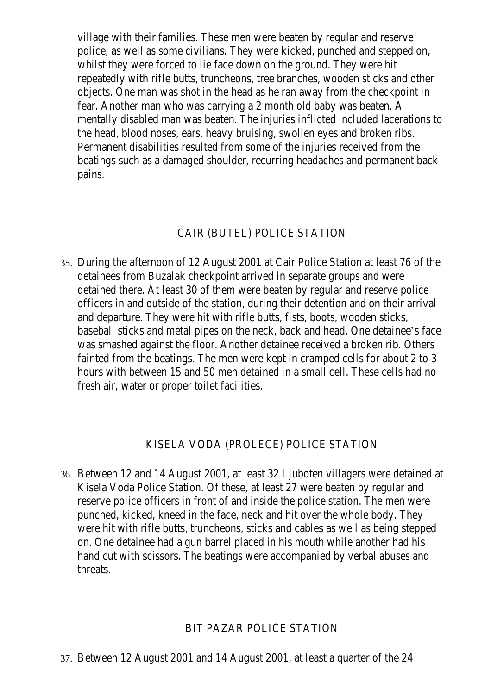village with their families. These men were beaten by regular and reserve police, as well as some civilians. They were kicked, punched and stepped on, whilst they were forced to lie face down on the ground. They were hit repeatedly with rifle butts, truncheons, tree branches, wooden sticks and other objects. One man was shot in the head as he ran away from the checkpoint in fear. Another man who was carrying a 2 month old baby was beaten. A mentally disabled man was beaten. The injuries inflicted included lacerations to the head, blood noses, ears, heavy bruising, swollen eyes and broken ribs. Permanent disabilities resulted from some of the injuries received from the beatings such as a damaged shoulder, recurring headaches and permanent back pains.

## CAIR (BUTEL) POLICE STATION

35. During the afternoon of 12 August 2001 at Cair Police Station at least 76 of the detainees from Buzalak checkpoint arrived in separate groups and were detained there. At least 30 of them were beaten by regular and reserve police officers in and outside of the station, during their detention and on their arrival and departure. They were hit with rifle butts, fists, boots, wooden sticks, baseball sticks and metal pipes on the neck, back and head. One detainee's face was smashed against the floor. Another detainee received a broken rib. Others fainted from the beatings. The men were kept in cramped cells for about 2 to 3 hours with between 15 and 50 men detained in a small cell. These cells had no fresh air, water or proper toilet facilities.

# KISELA VODA (PROLECE) POLICE STATION

36. Between 12 and 14 August 2001, at least 32 Ljuboten villagers were detained at Kisela Voda Police Station. Of these, at least 27 were beaten by regular and reserve police officers in front of and inside the police station. The men were punched, kicked, kneed in the face, neck and hit over the whole body. They were hit with rifle butts, truncheons, sticks and cables as well as being stepped on. One detainee had a gun barrel placed in his mouth while another had his hand cut with scissors. The beatings were accompanied by verbal abuses and threats.

## BIT PAZAR POLICE STATION

37. Between 12 August 2001 and 14 August 2001, at least a quarter of the 24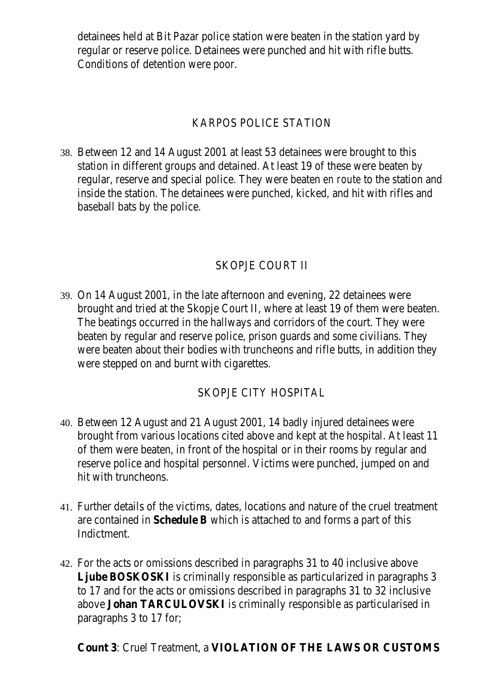detainees held at Bit Pazar police station were beaten in the station yard by regular or reserve police. Detainees were punched and hit with rifle butts. Conditions of detention were poor.

## KARPOS POLICE STATION

38. Between 12 and 14 August 2001 at least 53 detainees were brought to this station in different groups and detained. At least 19 of these were beaten by regular, reserve and special police. They were beaten *en route* to the station and inside the station. The detainees were punched, kicked, and hit with rifles and baseball bats by the police.

# SKOPJE COURT II

39. On 14 August 2001, in the late afternoon and evening, 22 detainees were brought and tried at the Skopje Court II, where at least 19 of them were beaten. The beatings occurred in the hallways and corridors of the court. They were beaten by regular and reserve police, prison guards and some civilians. They were beaten about their bodies with truncheons and rifle butts, in addition they were stepped on and burnt with cigarettes.

## SKOPJE CITY HOSPITAL

- 40. Between 12 August and 21 August 2001, 14 badly injured detainees were brought from various locations cited above and kept at the hospital. At least 11 of them were beaten, in front of the hospital or in their rooms by regular and reserve police and hospital personnel. Victims were punched, jumped on and hit with truncheons.
- 41. Further details of the victims, dates, locations and nature of the cruel treatment are contained in **Schedule B** which is attached to and forms a part of this Indictment.
- 42. For the acts or omissions described in paragraphs 31 to 40 inclusive above **Ljube BOSKOSKI** is criminally responsible as particularized in paragraphs 3 to 17 and for the acts or omissions described in paragraphs 31 to 32 inclusive above **Johan TARCULOVSKI** is criminally responsible as particularised in paragraphs 3 to 17 for;

# **Count 3**: Cruel Treatment, a **VIOLATION OF THE LAWS OR CUSTOMS**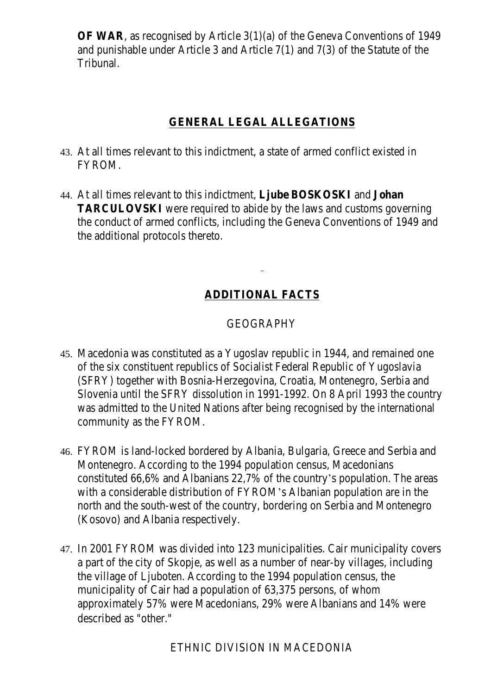**OF WAR**, as recognised by Article 3(1)(a) of the Geneva Conventions of 1949 and punishable under Article 3 and Article 7(1) and 7(3) of the Statute of the Tribunal.

# **GENERAL LEGAL ALLEGATIONS**

- 43. At all times relevant to this indictment, a state of armed conflict existed in FYROM.
- 44. At all times relevant to this indictment, **Ljube BOSKOSKI** and **Johan TARCULOVSKI** were required to abide by the laws and customs governing the conduct of armed conflicts, including the Geneva Conventions of 1949 and the additional protocols thereto.

# **ADDITIONAL FACTS**

# GEOGRAPHY

- 45. Macedonia was constituted as a Yugoslav republic in 1944, and remained one of the six constituent republics of Socialist Federal Republic of Yugoslavia (SFRY) together with Bosnia-Herzegovina, Croatia, Montenegro, Serbia and Slovenia until the SFRY dissolution in 1991-1992. On 8 April 1993 the country was admitted to the United Nations after being recognised by the international community as the FYROM.
- 46. FYROM is land-locked bordered by Albania, Bulgaria, Greece and Serbia and Montenegro. According to the 1994 population census, Macedonians constituted 66,6% and Albanians 22,7% of the country's population. The areas with a considerable distribution of FYROM's Albanian population are in the north and the south-west of the country, bordering on Serbia and Montenegro (Kosovo) and Albania respectively.
- 47. In 2001 FYROM was divided into 123 municipalities. Cair municipality covers a part of the city of Skopje, as well as a number of near-by villages, including the village of Ljuboten. According to the 1994 population census, the municipality of Cair had a population of 63,375 persons, of whom approximately 57% were Macedonians, 29% were Albanians and 14% were described as "other."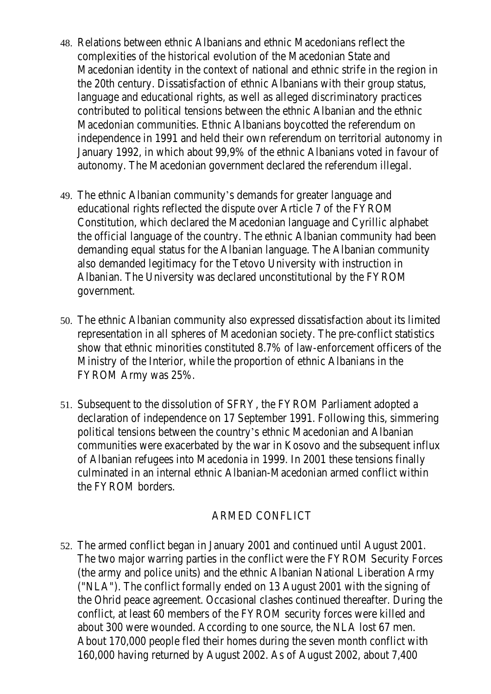- 48. Relations between ethnic Albanians and ethnic Macedonians reflect the complexities of the historical evolution of the Macedonian State and Macedonian identity in the context of national and ethnic strife in the region in the 20th century. Dissatisfaction of ethnic Albanians with their group status, language and educational rights, as well as alleged discriminatory practices contributed to political tensions between the ethnic Albanian and the ethnic Macedonian communities. Ethnic Albanians boycotted the referendum on independence in 1991 and held their own referendum on territorial autonomy in January 1992, in which about 99,9% of the ethnic Albanians voted in favour of autonomy. The Macedonian government declared the referendum illegal.
- 49. The ethnic Albanian community's demands for greater language and educational rights reflected the dispute over Article 7 of the FYROM Constitution, which declared the Macedonian language and Cyrillic alphabet the official language of the country. The ethnic Albanian community had been demanding equal status for the Albanian language. The Albanian community also demanded legitimacy for the Tetovo University with instruction in Albanian. The University was declared unconstitutional by the FYROM government.
- 50. The ethnic Albanian community also expressed dissatisfaction about its limited representation in all spheres of Macedonian society. The pre-conflict statistics show that ethnic minorities constituted 8.7% of law-enforcement officers of the Ministry of the Interior, while the proportion of ethnic Albanians in the FYROM Army was 25%.
- 51. Subsequent to the dissolution of SFRY, the FYROM Parliament adopted a declaration of independence on 17 September 1991. Following this, simmering political tensions between the country's ethnic Macedonian and Albanian communities were exacerbated by the war in Kosovo and the subsequent influx of Albanian refugees into Macedonia in 1999. In 2001 these tensions finally culminated in an internal ethnic Albanian-Macedonian armed conflict within the FYROM borders.

## ARMED CONFLICT

52. The armed conflict began in January 2001 and continued until August 2001. The two major warring parties in the conflict were the FYROM Security Forces (the army and police units) and the ethnic Albanian National Liberation Army ("NLA"). The conflict formally ended on 13 August 2001 with the signing of the Ohrid peace agreement. Occasional clashes continued thereafter. During the conflict, at least 60 members of the FYROM security forces were killed and about 300 were wounded. According to one source, the NLA lost 67 men. About 170,000 people fled their homes during the seven month conflict with 160,000 having returned by August 2002. As of August 2002, about 7,400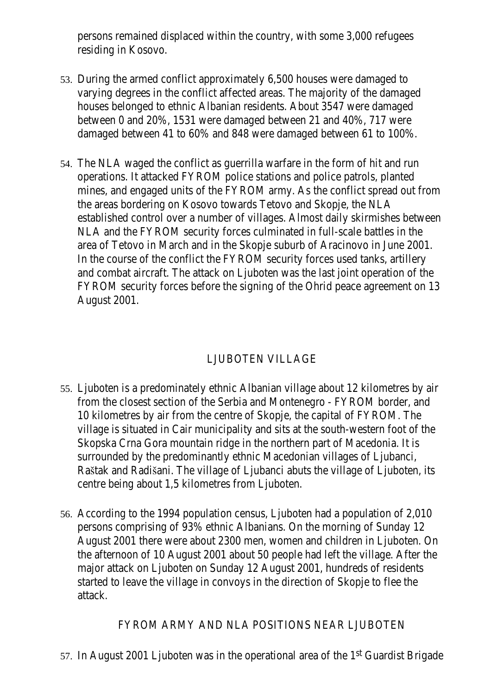persons remained displaced within the country, with some 3,000 refugees residing in Kosovo.

- 53. During the armed conflict approximately 6,500 houses were damaged to varying degrees in the conflict affected areas. The majority of the damaged houses belonged to ethnic Albanian residents. About 3547 were damaged between 0 and 20%, 1531 were damaged between 21 and 40%, 717 were damaged between 41 to 60% and 848 were damaged between 61 to 100%.
- 54. The NLA waged the conflict as guerrilla warfare in the form of hit and run operations. It attacked FYROM police stations and police patrols, planted mines, and engaged units of the FYROM army. As the conflict spread out from the areas bordering on Kosovo towards Tetovo and Skopje, the NLA established control over a number of villages. Almost daily skirmishes between NLA and the FYROM security forces culminated in full-scale battles in the area of Tetovo in March and in the Skopje suburb of Aracinovo in June 2001. In the course of the conflict the FYROM security forces used tanks, artillery and combat aircraft. The attack on Ljuboten was the last joint operation of the FYROM security forces before the signing of the Ohrid peace agreement on 13 August 2001.

# LJUBOTEN VILLAGE

- 55. Ljuboten is a predominately ethnic Albanian village about 12 kilometres by air from the closest section of the Serbia and Montenegro - FYROM border, and 10 kilometres by air from the centre of Skopje, the capital of FYROM. The village is situated in Cair municipality and sits at the south-western foot of the Skopska Crna Gora mountain ridge in the northern part of Macedonia. It is surrounded by the predominantly ethnic Macedonian villages of Ljubanci, Raštak and Radišani. The village of Ljubanci abuts the village of Ljuboten, its centre being about 1,5 kilometres from Ljuboten.
- 56. According to the 1994 population census, Ljuboten had a population of 2,010 persons comprising of 93% ethnic Albanians. On the morning of Sunday 12 August 2001 there were about 2300 men, women and children in Ljuboten. On the afternoon of 10 August 2001 about 50 people had left the village. After the major attack on Ljuboten on Sunday 12 August 2001, hundreds of residents started to leave the village in convoys in the direction of Skopje to flee the attack.

# FYROM ARMY AND NLA POSITIONS NEAR LJUBOTEN

57. In August 2001 Ljuboten was in the operational area of the 1st Guardist Brigade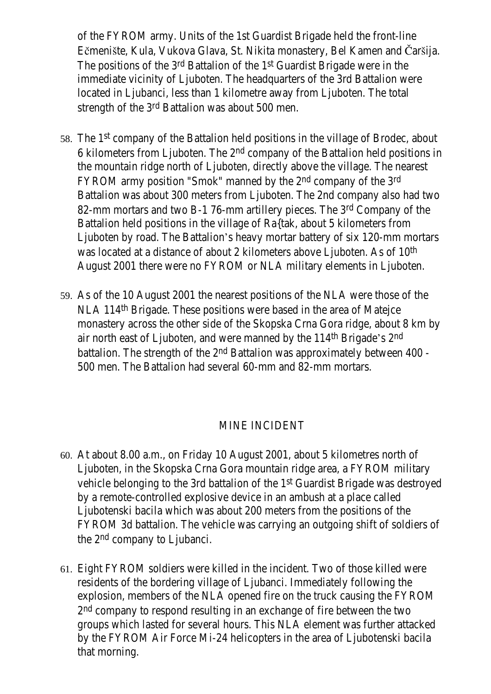of the FYROM army. Units of the 1st Guardist Brigade held the front-line Ečmenište, Kula, Vukova Glava, St. Nikita monastery, Bel Kamen and Čaršija. The positions of the 3rd Battalion of the 1st Guardist Brigade were in the immediate vicinity of Ljuboten. The headquarters of the 3rd Battalion were located in Ljubanci, less than 1 kilometre away from Ljuboten. The total strength of the 3rd Battalion was about 500 men.

- 58. The 1st company of the Battalion held positions in the village of Brodec, about 6 kilometers from Ljuboten. The 2nd company of the Battalion held positions in the mountain ridge north of Ljuboten, directly above the village. The nearest FYROM army position "Smok" manned by the 2nd company of the 3rd Battalion was about 300 meters from Ljuboten. The 2nd company also had two 82-mm mortars and two B-1 76-mm artillery pieces. The 3rd Company of the Battalion held positions in the village of Ra{tak, about 5 kilometers from Ljuboten by road. The Battalion's heavy mortar battery of six 120-mm mortars was located at a distance of about 2 kilometers above Ljuboten. As of 10<sup>th</sup> August 2001 there were no FYROM or NLA military elements in Ljuboten.
- 59. As of the 10 August 2001 the nearest positions of the NLA were those of the NLA 114th Brigade. These positions were based in the area of Matejce monastery across the other side of the Skopska Crna Gora ridge, about 8 km by air north east of Ljuboten, and were manned by the 114th Brigade's 2nd battalion. The strength of the 2<sup>nd</sup> Battalion was approximately between 400 -500 men. The Battalion had several 60-mm and 82-mm mortars.

## MINE INCIDENT

- 60. At about 8.00 a.m., on Friday 10 August 2001, about 5 kilometres north of Ljuboten, in the Skopska Crna Gora mountain ridge area, a FYROM military vehicle belonging to the 3rd battalion of the 1st Guardist Brigade was destroyed by a remote-controlled explosive device in an ambush at a place called Ljubotenski bacila which was about 200 meters from the positions of the FYROM 3d battalion. The vehicle was carrying an outgoing shift of soldiers of the 2nd company to Ljubanci.
- 61. Eight FYROM soldiers were killed in the incident. Two of those killed were residents of the bordering village of Ljubanci. Immediately following the explosion, members of the NLA opened fire on the truck causing the FYROM 2nd company to respond resulting in an exchange of fire between the two groups which lasted for several hours. This NLA element was further attacked by the FYROM Air Force Mi-24 helicopters in the area of Ljubotenski bacila that morning.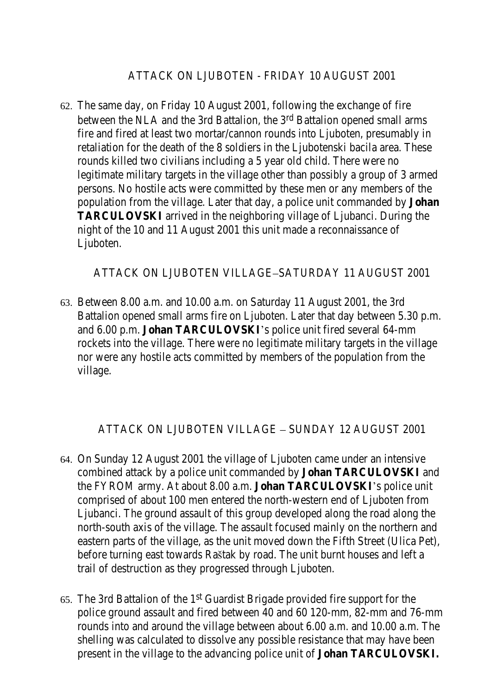## ATTACK ON LJUBOTEN - FRIDAY 10 AUGUST 2001

62. The same day, on Friday 10 August 2001, following the exchange of fire between the NLA and the 3rd Battalion, the 3rd Battalion opened small arms fire and fired at least two mortar/cannon rounds into Ljuboten, presumably in retaliation for the death of the 8 soldiers in the Ljubotenski bacila area. These rounds killed two civilians including a 5 year old child. There were no legitimate military targets in the village other than possibly a group of 3 armed persons. No hostile acts were committed by these men or any members of the population from the village. Later that day, a police unit commanded by **Johan TARCULOVSKI** arrived in the neighboring village of Ljubanci. During the night of the 10 and 11 August 2001 this unit made a reconnaissance of Ljuboten.

## ATTACK ON LJUBOTEN VILLAGE–SATURDAY 11 AUGUST 2001

63. Between 8.00 a.m. and 10.00 a.m. on Saturday 11 August 2001, the 3rd Battalion opened small arms fire on Ljuboten. Later that day between 5.30 p.m. and 6.00 p.m. **Johan TARCULOVSKI**'s police unit fired several 64-mm rockets into the village. There were no legitimate military targets in the village nor were any hostile acts committed by members of the population from the village.

# ATTACK ON LJUBOTEN VILLAGE – SUNDAY 12 AUGUST 2001

- 64. On Sunday 12 August 2001 the village of Ljuboten came under an intensive combined attack by a police unit commanded by **Johan TARCULOVSKI** and the FYROM army. At about 8.00 a.m. **Johan TARCULOVSKI**'s police unit comprised of about 100 men entered the north-western end of Ljuboten from Ljubanci. The ground assault of this group developed along the road along the north-south axis of the village. The assault focused mainly on the northern and eastern parts of the village, as the unit moved down the Fifth Street (Ulica Pet), before turning east towards Raštak by road. The unit burnt houses and left a trail of destruction as they progressed through Ljuboten.
- 65. The 3rd Battalion of the 1st Guardist Brigade provided fire support for the police ground assault and fired between 40 and 60 120-mm, 82-mm and 76-mm rounds into and around the village between about 6.00 a.m. and 10.00 a.m. The shelling was calculated to dissolve any possible resistance that may have been present in the village to the advancing police unit of **Johan TARCULOVSKI.**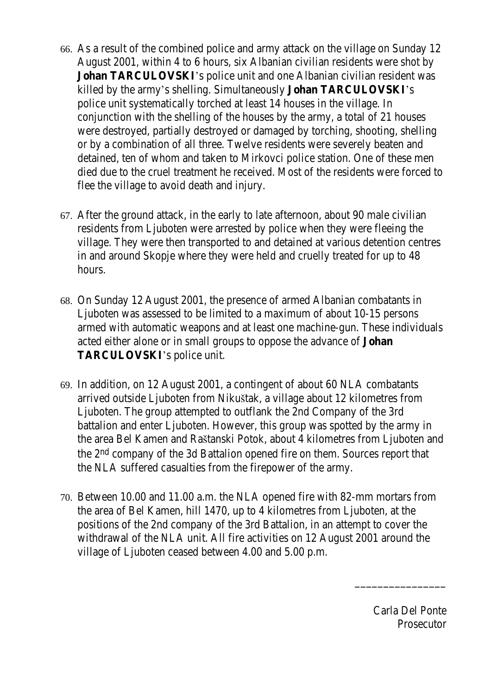- 66. As a result of the combined police and army attack on the village on Sunday 12 August 2001, within 4 to 6 hours, six Albanian civilian residents were shot by **Johan TARCULOVSKI**'s police unit and one Albanian civilian resident was killed by the army's shelling. Simultaneously **Johan TARCULOVSKI**'s police unit systematically torched at least 14 houses in the village. In conjunction with the shelling of the houses by the army, a total of 21 houses were destroyed, partially destroyed or damaged by torching, shooting, shelling or by a combination of all three. Twelve residents were severely beaten and detained, ten of whom and taken to Mirkovci police station. One of these men died due to the cruel treatment he received. Most of the residents were forced to flee the village to avoid death and injury.
- 67. After the ground attack, in the early to late afternoon, about 90 male civilian residents from Ljuboten were arrested by police when they were fleeing the village. They were then transported to and detained at various detention centres in and around Skopje where they were held and cruelly treated for up to 48 hours.
- 68. On Sunday 12 August 2001, the presence of armed Albanian combatants in Ljuboten was assessed to be limited to a maximum of about 10-15 persons armed with automatic weapons and at least one machine-gun. These individuals acted either alone or in small groups to oppose the advance of **Johan TARCULOVSKI**'s police unit.
- 69. In addition, on 12 August 2001, a contingent of about 60 NLA combatants arrived outside Ljuboten from Nikuštak, a village about 12 kilometres from Ljuboten. The group attempted to outflank the 2nd Company of the 3rd battalion and enter Ljuboten. However, this group was spotted by the army in the area Bel Kamen and Raštanski Potok, about 4 kilometres from Ljuboten and the 2nd company of the 3d Battalion opened fire on them. Sources report that the NLA suffered casualties from the firepower of the army.
- 70. Between 10.00 and 11.00 a.m. the NLA opened fire with 82-mm mortars from the area of Bel Kamen, hill 1470, up to 4 kilometres from Ljuboten, at the positions of the 2nd company of the 3rd Battalion, in an attempt to cover the withdrawal of the NLA unit. All fire activities on 12 August 2001 around the village of Ljuboten ceased between 4.00 and 5.00 p.m.

Carla Del Ponte Prosecutor

\_\_\_\_\_\_\_\_\_\_\_\_\_\_\_\_